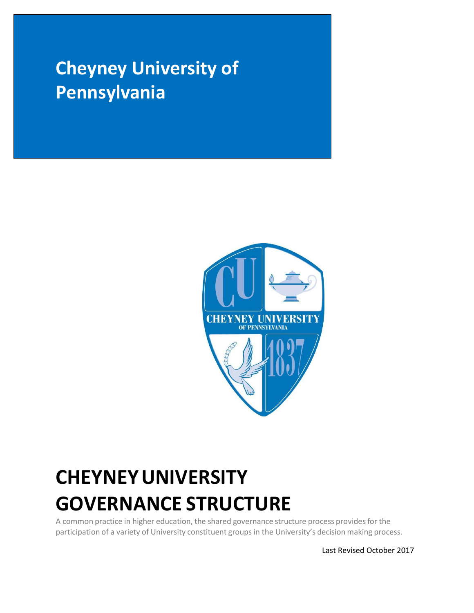# **Cheyney University of Pennsylvania**



# **CHEYNEYUNIVERSITY GOVERNANCE STRUCTURE**

A common practice in higher education, the shared governance structure process provides for the participation of a variety of University constituent groups in the University's decision making process.

Last Revised October 2017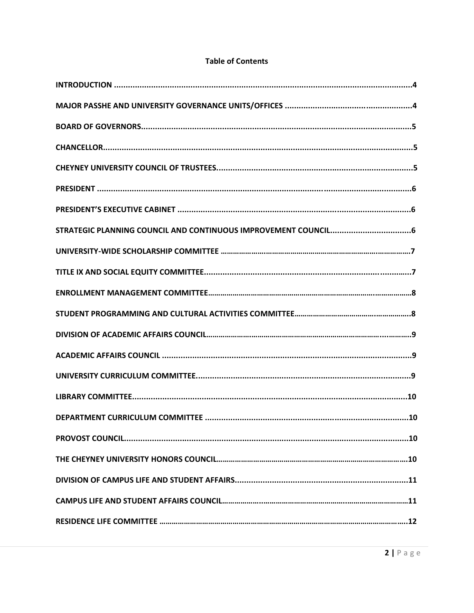# **Table of Contents**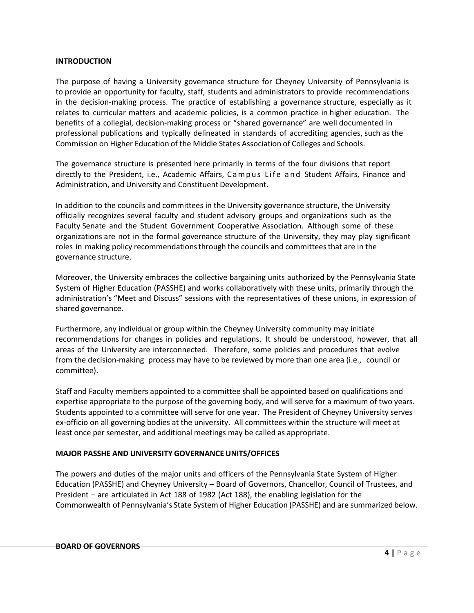#### **INTRODUCTION**

The purpose of having a University governance structure for Cheyney University of Pennsylvania is to provide an opportunity for faculty, staff, students and administrators to provide recommendations in the decision-making process. The practice of establishing a governance structure, especially as it relates to curricular matters and academic policies, is a common practice in higher education. The benefits of a collegial, decision‐making process or "shared governance" are well documented in professional publications and typically delineated in standards of accrediting agencies, such as the Commission on Higher Education of the Middle States Association of Colleges and Schools.

The governance structure is presented here primarily in terms of the four divisions that report directly to the President, i.e., Academic Affairs, Campus Life and Student Affairs, Finance and Administration, and University and Constituent Development.

In addition to the councils and committees in the University governance structure, the University officially recognizes several faculty and student advisory groups and organizations such as the Faculty Senate and the Student Government Cooperative Association. Although some of these organizations are not in the formal governance structure of the University, they may play significant roles in making policy recommendations through the councils and committees that are in the governance structure.

Moreover, the University embraces the collective bargaining units authorized by the Pennsylvania State System of Higher Education (PASSHE) and works collaboratively with these units, primarily through the administration's "Meet and Discuss" sessions with the representatives of these unions, in expression of shared governance.

Furthermore, any individual or group within the Cheyney University community may initiate recommendations for changes in policies and regulations. It should be understood, however, that all areas of the University are interconnected. Therefore, some policies and procedures that evolve from the decision‐making process may have to be reviewed by more than one area (i.e., council or committee).

Staff and Faculty members appointed to a committee shall be appointed based on qualifications and expertise appropriate to the purpose of the governing body, and will serve for a maximum of two years. Students appointed to a committee will serve for one year. The President of Cheyney University serves ex-officio on all governing bodies at the university. All committees within the structure will meet at least once per semester, and additional meetings may be called as appropriate.

#### **MAJOR PASSHE AND UNIVERSITY GOVERNANCE UNITS/OFFICES**

The powers and duties of the major units and officers of the Pennsylvania State System of Higher Education (PASSHE) and Cheyney University – Board of Governors, Chancellor, Council of Trustees, and President – are articulated in Act 188 of 1982 (Act 188), the enabling legislation for the Commonwealth of Pennsylvania's State System of Higher Education (PASSHE) and are summarized below.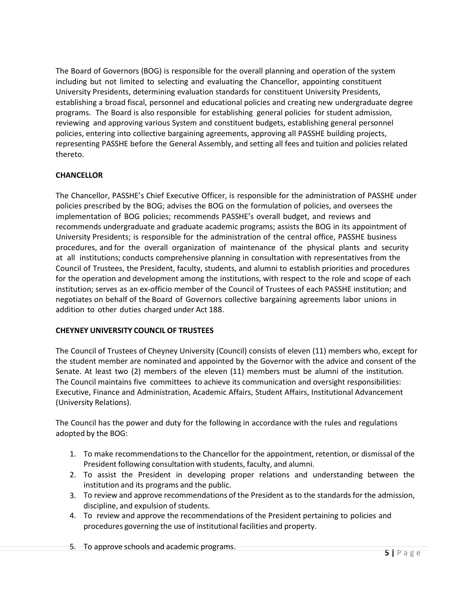The Board of Governors (BOG) is responsible for the overall planning and operation of the system including but not limited to selecting and evaluating the Chancellor, appointing constituent University Presidents, determining evaluation standards for constituent University Presidents, establishing a broad fiscal, personnel and educational policies and creating new undergraduate degree programs. The Board is also responsible for establishing general policies for student admission, reviewing and approving various System and constituent budgets, establishing general personnel policies, entering into collective bargaining agreements, approving all PASSHE building projects, representing PASSHE before the General Assembly, and setting all fees and tuition and policiesrelated thereto.

# **CHANCELLOR**

The Chancellor, PASSHE's Chief Executive Officer, is responsible for the administration of PASSHE under policies prescribed by the BOG; advises the BOG on the formulation of policies, and oversees the implementation of BOG policies; recommends PASSHE's overall budget, and reviews and recommends undergraduate and graduate academic programs; assists the BOG in its appointment of University Presidents; is responsible for the administration of the central office, PASSHE business procedures, and for the overall organization of maintenance of the physical plants and security at all institutions; conducts comprehensive planning in consultation with representatives from the Council of Trustees, the President, faculty, students, and alumni to establish priorities and procedures for the operation and development among the institutions, with respect to the role and scope of each institution; serves as an ex‐officio member of the Council of Trustees of each PASSHE institution; and negotiates on behalf of the Board of Governors collective bargaining agreements labor unions in addition to other duties charged under Act 188.

#### **CHEYNEY UNIVERSITY COUNCIL OF TRUSTEES**

The Council of Trustees of Cheyney University (Council) consists of eleven (11) members who, except for the student member are nominated and appointed by the Governor with the advice and consent of the Senate. At least two (2) members of the eleven (11) members must be alumni of the institution. The Council maintains five committees to achieve its communication and oversight responsibilities: Executive, Finance and Administration, Academic Affairs, Student Affairs, Institutional Advancement (University Relations).

The Council has the power and duty for the following in accordance with the rules and regulations adopted by the BOG:

- 1. To make recommendationsto the Chancellor for the appointment, retention, or dismissal of the President following consultation with students, faculty, and alumni.
- 2. To assist the President in developing proper relations and understanding between the institution and its programs and the public.
- 3. To review and approve recommendations of the President as to the standards for the admission, discipline, and expulsion of students.
- 4. To review and approve the recommendations of the President pertaining to policies and procedures governing the use of institutional facilities and property.

5. To approve schools and academic programs.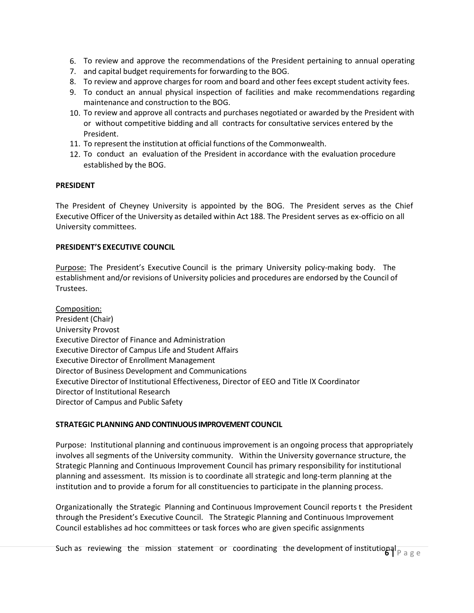- 6. To review and approve the recommendations of the President pertaining to annual operating
- 7. and capital budget requirementsfor forwarding to the BOG.
- 8. To review and approve charges for room and board and other fees except student activity fees.
- 9. To conduct an annual physical inspection of facilities and make recommendations regarding maintenance and construction to the BOG.
- 10. To review and approve all contracts and purchases negotiated or awarded by the President with or without competitive bidding and all contracts for consultative services entered by the President.
- 11. To represent the institution at official functions of the Commonwealth.
- 12. To conduct an evaluation of the President in accordance with the evaluation procedure established by the BOG.

#### **PRESIDENT**

The President of Cheyney University is appointed by the BOG. The President serves as the Chief Executive Officer of the University as detailed within Act 188. The President serves as ex-officio on all University committees.

#### **PRESIDENT'S EXECUTIVE COUNCIL**

Purpose: The President's Executive Council is the primary University policy-making body. The establishment and/or revisions of University policies and procedures are endorsed by the Council of Trustees.

Composition: President (Chair) University Provost Executive Director of Finance and Administration Executive Director of Campus Life and Student Affairs Executive Director of Enrollment Management Director of Business Development and Communications Executive Director of Institutional Effectiveness, Director of EEO and Title IX Coordinator Director of Institutional Research Director of Campus and Public Safety

#### **STRATEGIC PLANNING AND CONTINUOUS IMPROVEMENT COUNCIL**

Purpose: Institutional planning and continuous improvement is an ongoing process that appropriately involves all segments of the University community. Within the University governance structure, the Strategic Planning and Continuous Improvement Council has primary responsibility for institutional planning and assessment. Its mission is to coordinate all strategic and long‐term planning at the institution and to provide a forum for all constituencies to participate in the planning process.

Organizationally the Strategic Planning and Continuous Improvement Council reports t the President through the President's Executive Council. The Strategic Planning and Continuous Improvement Council establishes ad hoc committees or task forces who are given specific assignments

Such as reviewing the mission statement or coordinating the development of institutional <sub>Page</sub>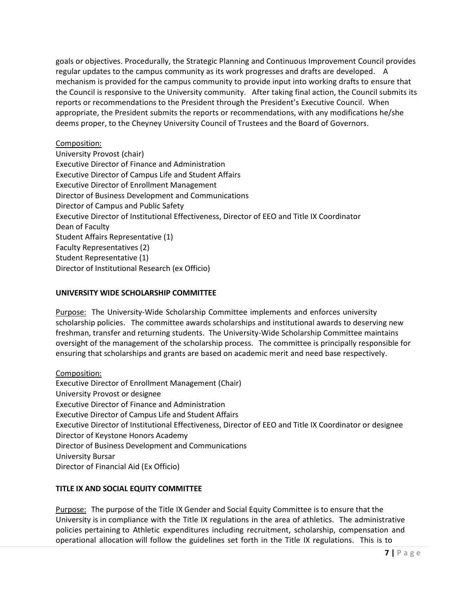goals or objectives. Procedurally, the Strategic Planning and Continuous Improvement Council provides regular updates to the campus community as its work progresses and drafts are developed. A mechanism is provided for the campus community to provide input into working drafts to ensure that the Council is responsive to the University community. After taking final action, the Council submits its reports or recommendations to the President through the President's Executive Council. When appropriate, the President submits the reports or recommendations, with any modifications he/she deems proper, to the Cheyney University Council of Trustees and the Board of Governors.

# Composition:

University Provost (chair) Executive Director of Finance and Administration Executive Director of Campus Life and Student Affairs Executive Director of Enrollment Management Director of Business Development and Communications Director of Campus and Public Safety Executive Director of Institutional Effectiveness, Director of EEO and Title IX Coordinator Dean of Faculty Student Affairs Representative (1) Faculty Representatives (2) Student Representative (1) Director of Institutional Research (ex Officio)

# **UNIVERSITY WIDE SCHOLARSHIP COMMITTEE**

Purpose: The University‐Wide Scholarship Committee implements and enforces university scholarship policies. The committee awards scholarships and institutional awards to deserving new freshman, transfer and returning students. The University‐Wide Scholarship Committee maintains oversight of the management of the scholarship process. The committee is principally responsible for ensuring that scholarships and grants are based on academic merit and need base respectively.

Composition: Executive Director of Enrollment Management (Chair) University Provost or designee Executive Director of Finance and Administration Executive Director of Campus Life and Student Affairs Executive Director of Institutional Effectiveness, Director of EEO and Title IX Coordinator or designee Director of Keystone Honors Academy Director of Business Development and Communications University Bursar Director of Financial Aid (Ex Officio)

# **TITLE IX AND SOCIAL EQUITY COMMITTEE**

Purpose: The purpose of the Title IX Gender and Social Equity Committee is to ensure that the University is in compliance with the Title IX regulations in the area of athletics. The administrative policies pertaining to Athletic expenditures including recruitment, scholarship, compensation and operational allocation will follow the guidelines set forth in the Title IX regulations. This is to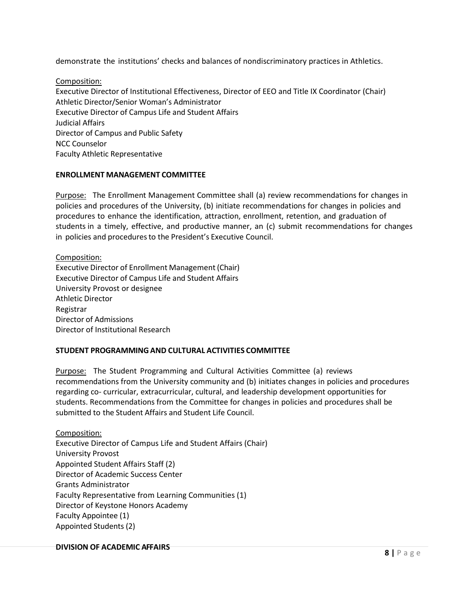demonstrate the institutions' checks and balances of nondiscriminatory practices in Athletics.

Composition: Executive Director of Institutional Effectiveness, Director of EEO and Title IX Coordinator (Chair) Athletic Director/Senior Woman's Administrator Executive Director of Campus Life and Student Affairs Judicial Affairs Director of Campus and Public Safety NCC Counselor Faculty Athletic Representative

#### **ENROLLMENT MANAGEMENT COMMITTEE**

Purpose: The Enrollment Management Committee shall (a) review recommendations for changes in policies and procedures of the University, (b) initiate recommendations for changes in policies and procedures to enhance the identification, attraction, enrollment, retention, and graduation of students in a timely, effective, and productive manner, an (c) submit recommendations for changes in policies and procedures to the President's Executive Council.

Composition: Executive Director of Enrollment Management(Chair) Executive Director of Campus Life and Student Affairs University Provost or designee Athletic Director Registrar Director of Admissions Director of Institutional Research

# **STUDENT PROGRAMMINGAND CULTURAL ACTIVITIES COMMITTEE**

Purpose: The Student Programming and Cultural Activities Committee (a) reviews recommendations from the University community and (b) initiates changes in policies and procedures regarding co‐ curricular, extracurricular, cultural, and leadership development opportunities for students. Recommendations from the Committee for changes in policies and procedures shall be submitted to the Student Affairs and Student Life Council.

Composition: Executive Director of Campus Life and Student Affairs (Chair) University Provost Appointed Student Affairs Staff (2) Director of Academic Success Center Grants Administrator Faculty Representative from Learning Communities (1) Director of Keystone Honors Academy Faculty Appointee (1) Appointed Students (2)

#### **DIVISION OF ACADEMIC AFFAIRS**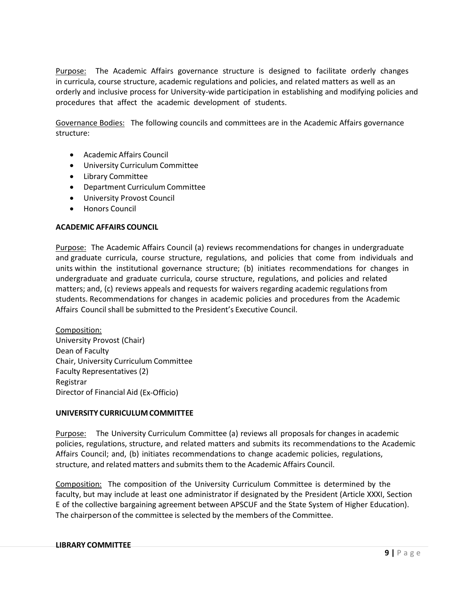Purpose: The Academic Affairs governance structure is designed to facilitate orderly changes in curricula, course structure, academic regulations and policies, and related matters as well as an orderly and inclusive process for University‐wide participation in establishing and modifying policies and procedures that affect the academic development of students.

Governance Bodies: The following councils and committees are in the Academic Affairs governance structure:

- Academic Affairs Council
- University Curriculum Committee
- Library Committee
- Department Curriculum Committee
- University Provost Council
- Honors Council

#### **ACADEMIC AFFAIRS COUNCIL**

Purpose: The Academic Affairs Council (a) reviews recommendations for changes in undergraduate and graduate curricula, course structure, regulations, and policies that come from individuals and units within the institutional governance structure; (b) initiates recommendations for changes in undergraduate and graduate curricula, course structure, regulations, and policies and related matters; and, (c) reviews appeals and requests for waivers regarding academic regulations from students. Recommendations for changes in academic policies and procedures from the Academic Affairs Council shall be submitted to the President's Executive Council.

Composition: University Provost (Chair) Dean of Faculty Chair, University Curriculum Committee Faculty Representatives (2) Registrar Director of Financial Aid (Ex‐Officio)

#### **UNIVERSITY CURRICULUMCOMMITTEE**

Purpose: The University Curriculum Committee (a) reviews all proposals for changes in academic policies, regulations, structure, and related matters and submits its recommendations to the Academic Affairs Council; and, (b) initiates recommendations to change academic policies, regulations, structure, and related matters and submits them to the Academic Affairs Council.

Composition: The composition of the University Curriculum Committee is determined by the faculty, but may include at least one administrator if designated by the President (Article XXXI, Section E of the collective bargaining agreement between APSCUF and the State System of Higher Education). The chairperson of the committee is selected by the members of the Committee.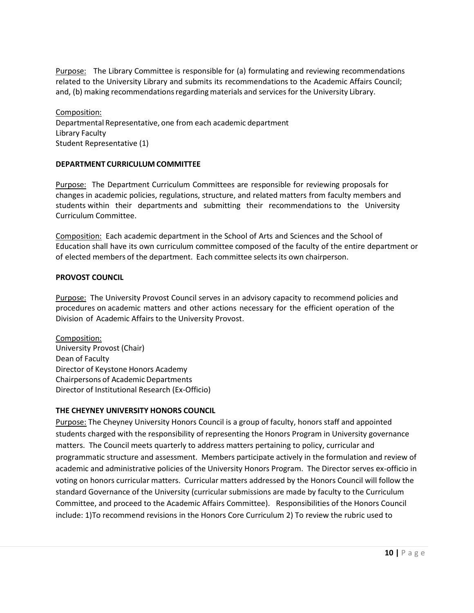Purpose: The Library Committee is responsible for (a) formulating and reviewing recommendations related to the University Library and submits its recommendations to the Academic Affairs Council; and, (b) making recommendations regarding materials and services for the University Library.

Composition: Departmental Representative, one from each academic department Library Faculty Student Representative (1)

#### **DEPARTMENT CURRICULUM COMMITTEE**

Purpose: The Department Curriculum Committees are responsible for reviewing proposals for changes in academic policies, regulations, structure, and related matters from faculty members and students within their departments and submitting their recommendations to the University Curriculum Committee.

Composition: Each academic department in the School of Arts and Sciences and the School of Education shall have its own curriculum committee composed of the faculty of the entire department or of elected members of the department. Each committee selectsits own chairperson.

#### **PROVOST COUNCIL**

**Purpose:** The University Provost Council serves in an advisory capacity to recommend policies and procedures on academic matters and other actions necessary for the efficient operation of the Division of Academic Affairs to the University Provost.

Composition: University Provost (Chair) Dean of Faculty Director of Keystone Honors Academy Chairpersons of Academic Departments Director of Institutional Research (Ex‐Officio)

#### **THE CHEYNEY UNIVERSITY HONORS COUNCIL**

Purpose: The Cheyney University Honors Council is a group of faculty, honors staff and appointed students charged with the responsibility of representing the Honors Program in University governance matters. The Council meets quarterly to address matters pertaining to policy, curricular and programmatic structure and assessment. Members participate actively in the formulation and review of academic and administrative policies of the University Honors Program. The Director serves ex-officio in voting on honors curricular matters. Curricular matters addressed by the Honors Council will follow the standard Governance of the University (curricular submissions are made by faculty to the Curriculum Committee, and proceed to the Academic Affairs Committee). Responsibilities of the Honors Council include: 1)To recommend revisions in the Honors Core Curriculum 2) To review the rubric used to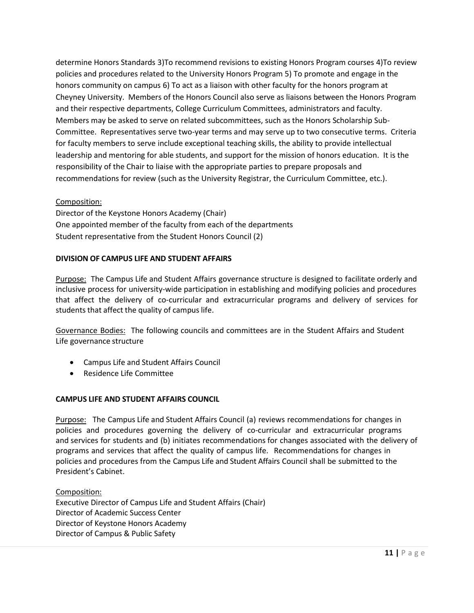determine Honors Standards 3)To recommend revisions to existing Honors Program courses 4)To review policies and procedures related to the University Honors Program 5) To promote and engage in the honors community on campus 6) To act as a liaison with other faculty for the honors program at Cheyney University. Members of the Honors Council also serve as liaisons between the Honors Program and their respective departments, College Curriculum Committees, administrators and faculty. Members may be asked to serve on related subcommittees, such as the Honors Scholarship Sub-Committee. Representatives serve two-year terms and may serve up to two consecutive terms. Criteria for faculty members to serve include exceptional teaching skills, the ability to provide intellectual leadership and mentoring for able students, and support for the mission of honors education. It is the responsibility of the Chair to liaise with the appropriate parties to prepare proposals and recommendations for review (such as the University Registrar, the Curriculum Committee, etc.).

#### Composition:

Director of the Keystone Honors Academy (Chair) One appointed member of the faculty from each of the departments Student representative from the Student Honors Council (2)

#### **DIVISION OF CAMPUS LIFE AND STUDENT AFFAIRS**

Purpose: The Campus Life and Student Affairs governance structure is designed to facilitate orderly and inclusive process for university‐wide participation in establishing and modifying policies and procedures that affect the delivery of co‐curricular and extracurricular programs and delivery of services for students that affect the quality of campus life.

Governance Bodies: The following councils and committees are in the Student Affairs and Student Life governance structure

- Campus Life and Student Affairs Council
- Residence Life Committee

#### **CAMPUS LIFE AND STUDENT AFFAIRS COUNCIL**

Purpose: The Campus Life and Student Affairs Council (a) reviews recommendations for changes in policies and procedures governing the delivery of co-curricular and extracurricular programs and services for students and (b) initiates recommendations for changes associated with the delivery of programs and services that affect the quality of campus life. Recommendations for changes in policies and procedures from the Campus Life and Student Affairs Council shall be submitted to the President's Cabinet.

Composition: Executive Director of Campus Life and Student Affairs (Chair) Director of Academic Success Center Director of Keystone Honors Academy Director of Campus & Public Safety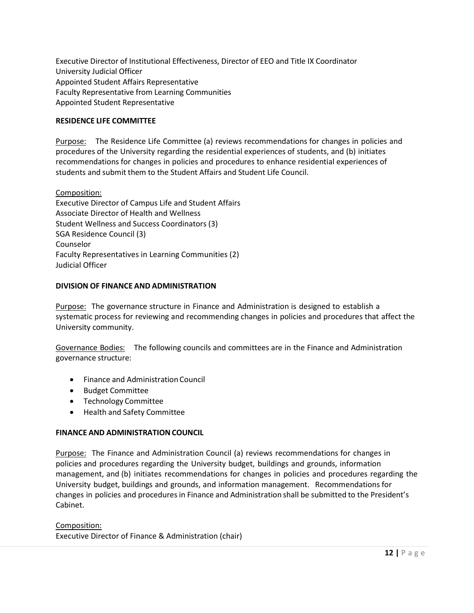Executive Director of Institutional Effectiveness, Director of EEO and Title IX Coordinator University Judicial Officer Appointed Student Affairs Representative Faculty Representative from Learning Communities Appointed Student Representative

### **RESIDENCE LIFE COMMITTEE**

Purpose: The Residence Life Committee (a) reviews recommendations for changes in policies and procedures of the University regarding the residential experiences of students, and (b) initiates recommendations for changes in policies and procedures to enhance residential experiences of students and submit them to the Student Affairs and Student Life Council.

#### Composition:

Executive Director of Campus Life and Student Affairs Associate Director of Health and Wellness Student Wellness and Success Coordinators (3) SGA Residence Council (3) Counselor Faculty Representatives in Learning Communities (2) Judicial Officer

#### **DIVISION OF FINANCE AND ADMINISTRATION**

Purpose: The governance structure in Finance and Administration is designed to establish a systematic process for reviewing and recommending changes in policies and procedures that affect the University community.

Governance Bodies: The following councils and committees are in the Finance and Administration governance structure:

- Finance and Administration Council
- Budget Committee
- Technology Committee
- Health and Safety Committee

#### **FINANCE AND ADMINISTRATION COUNCIL**

Purpose: The Finance and Administration Council (a) reviews recommendations for changes in policies and procedures regarding the University budget, buildings and grounds, information management, and (b) initiates recommendations for changes in policies and procedures regarding the University budget, buildings and grounds, and information management. Recommendations for changes in policies and procedures in Finance and Administration shall be submitted to the President's Cabinet.

#### Composition:

Executive Director of Finance & Administration (chair)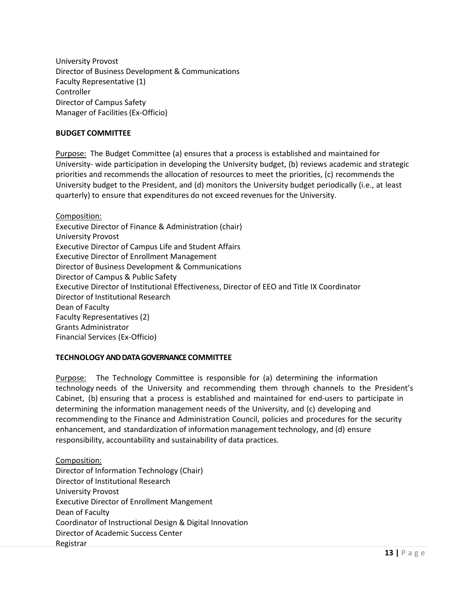University Provost Director of Business Development & Communications Faculty Representative (1) **Controller** Director of Campus Safety Manager of Facilities (Ex‐Officio)

#### **BUDGET COMMITTEE**

Purpose: The Budget Committee (a) ensures that a process is established and maintained for University‐ wide participation in developing the University budget, (b) reviews academic and strategic priorities and recommends the allocation of resources to meet the priorities, (c) recommends the University budget to the President, and (d) monitors the University budget periodically (i.e., at least quarterly) to ensure that expenditures do not exceed revenues for the University.

Composition: Executive Director of Finance & Administration (chair) University Provost Executive Director of Campus Life and Student Affairs Executive Director of Enrollment Management Director of Business Development & Communications Director of Campus & Public Safety Executive Director of Institutional Effectiveness, Director of EEO and Title IX Coordinator Director of Institutional Research Dean of Faculty Faculty Representatives (2) Grants Administrator Financial Services (Ex-Officio)

#### **TECHNOLOGY AND DATA GOVERNANCE COMMITTEE**

Purpose: The Technology Committee is responsible for (a) determining the information technology needs of the University and recommending them through channels to the President's Cabinet, (b) ensuring that a process is established and maintained for end‐users to participate in determining the information management needs of the University, and (c) developing and recommending to the Finance and Administration Council, policies and procedures for the security enhancement, and standardization of information management technology, and (d) ensure responsibility, accountability and sustainability of data practices.

Composition: Director of Information Technology (Chair) Director of Institutional Research University Provost Executive Director of Enrollment Mangement Dean of Faculty Coordinator of Instructional Design & Digital Innovation Director of Academic Success Center Registrar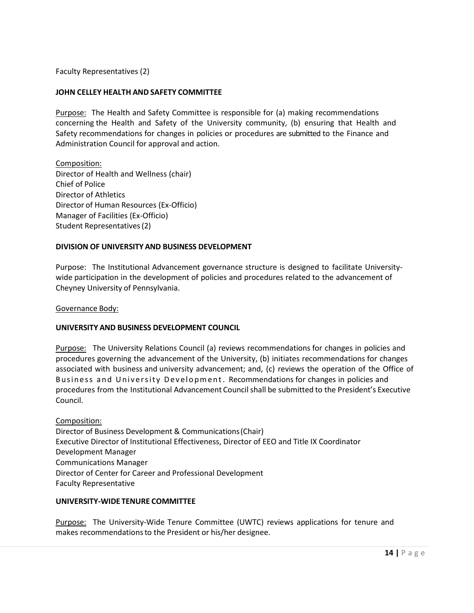Faculty Representatives (2)

#### **JOHN CELLEY HEALTH AND SAFETY COMMITTEE**

Purpose: The Health and Safety Committee is responsible for (a) making recommendations concerning the Health and Safety of the University community, (b) ensuring that Health and Safety recommendations for changes in policies or procedures are submitted to the Finance and Administration Council for approval and action.

Composition: Director of Health and Wellness (chair) Chief of Police Director of Athletics Director of Human Resources (Ex-Officio) Manager of Facilities (Ex-Officio) Student Representatives(2)

#### **DIVISION OF UNIVERSITY AND BUSINESS DEVELOPMENT**

Purpose: The Institutional Advancement governance structure is designed to facilitate University‐ wide participation in the development of policies and procedures related to the advancement of Cheyney University of Pennsylvania.

Governance Body:

#### **UNIVERSITY AND BUSINESS DEVELOPMENT COUNCIL**

Purpose: The University Relations Council (a) reviews recommendations for changes in policies and procedures governing the advancement of the University, (b) initiates recommendations for changes associated with business and university advancement; and, (c) reviews the operation of the Office of Business and University Development. Recommendations for changes in policies and procedures from the Institutional Advancement Councilshall be submitted to the President's Executive Council.

Composition: Director of Business Development & Communications(Chair)

Executive Director of Institutional Effectiveness, Director of EEO and Title IX Coordinator Development Manager Communications Manager Director of Center for Career and Professional Development Faculty Representative

#### **UNIVERSITY-WIDE TENURE COMMITTEE**

Purpose: The University-Wide Tenure Committee (UWTC) reviews applications for tenure and makes recommendationsto the President or his/her designee.